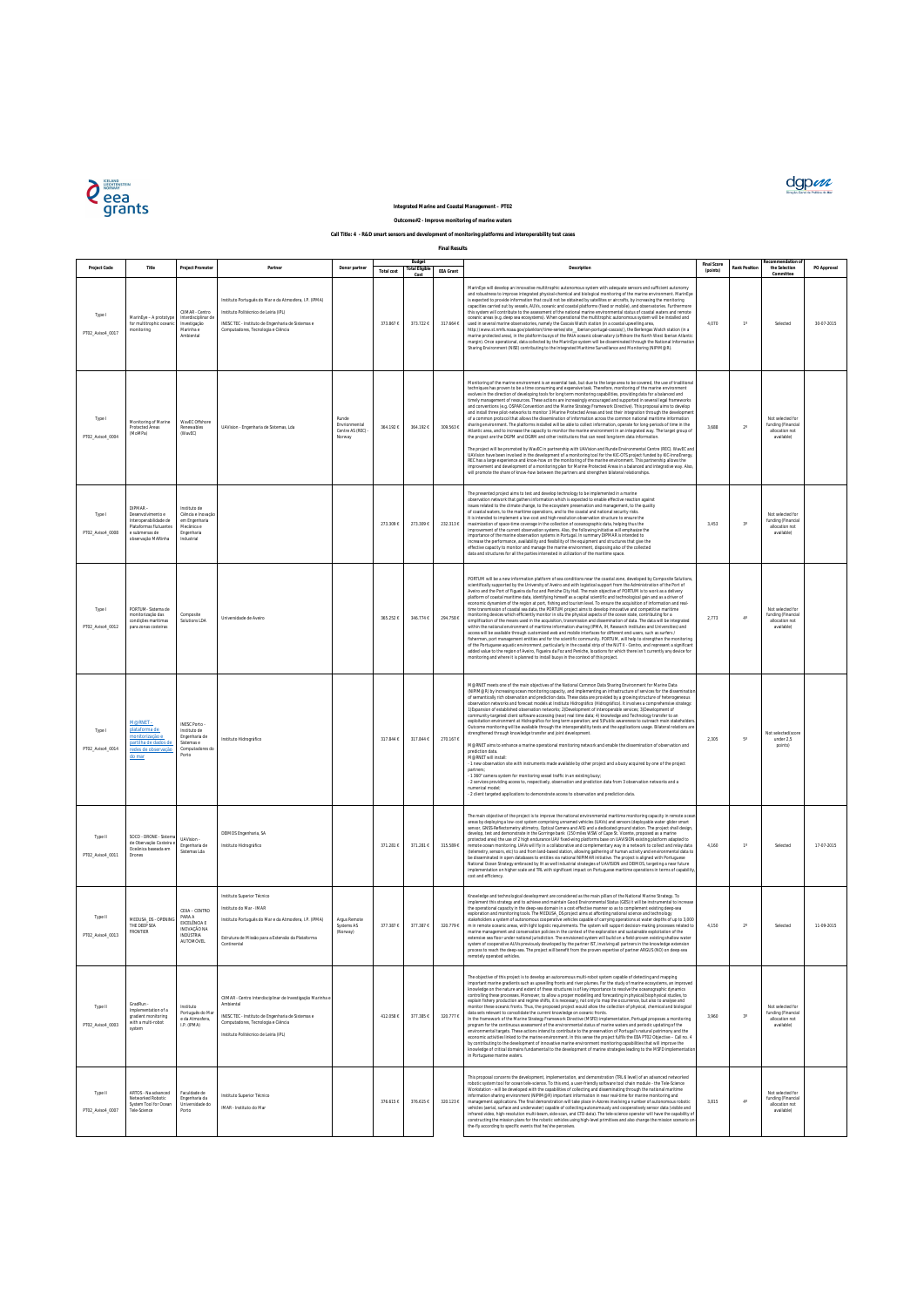| Project Code                | Title                                                                                                                   | <b>Project Promoter</b>                                                                       | Partne                                                                                                                                                                                                      | Donor partner                                       | <b>Total cost</b> | Budget<br><b>Total Eligible</b><br>Cost | <b>EEA Grant</b> | Description                                                                                                                                                                                                                                                                                                                                                                                                                                                                                                                                                                                                                                                                                                                                                                                                                                                                                                                                                                                                                                                                                                                                                                                                                                                                                                                                                                                                                                                                                                                                                                                                                                                                                                                                                                                                                      | <b>Final Score</b><br>(points) | <b>Rank Position</b> | ecommendation<br>the Selection<br>Committee                            | PO Approval |
|-----------------------------|-------------------------------------------------------------------------------------------------------------------------|-----------------------------------------------------------------------------------------------|-------------------------------------------------------------------------------------------------------------------------------------------------------------------------------------------------------------|-----------------------------------------------------|-------------------|-----------------------------------------|------------------|----------------------------------------------------------------------------------------------------------------------------------------------------------------------------------------------------------------------------------------------------------------------------------------------------------------------------------------------------------------------------------------------------------------------------------------------------------------------------------------------------------------------------------------------------------------------------------------------------------------------------------------------------------------------------------------------------------------------------------------------------------------------------------------------------------------------------------------------------------------------------------------------------------------------------------------------------------------------------------------------------------------------------------------------------------------------------------------------------------------------------------------------------------------------------------------------------------------------------------------------------------------------------------------------------------------------------------------------------------------------------------------------------------------------------------------------------------------------------------------------------------------------------------------------------------------------------------------------------------------------------------------------------------------------------------------------------------------------------------------------------------------------------------------------------------------------------------|--------------------------------|----------------------|------------------------------------------------------------------------|-------------|
| Type I<br>PT02_Aviso4_0017  | MarinEye - A prototype<br>for multitrophic oceani<br>monitoring                                                         | CIIMAR - Centro<br>Interdisciplinar de<br>Investigação<br>Marinha e<br>Ambiental              | Instituto Português do Mar e da Atmosfera, I.P. (IPMA)<br>Instituto Politécnico de Leiria (IPL)<br>INESC TEC - Instituto de Engenharia de Sistemas e<br>Computadores, Tecnologia e Ciência                  |                                                     | 373.867 €         | 373.722 €                               | 317.664 €        | MarinEye will develop an innovative multitrophic autonomous system with adequate sensors and sufficient autonomy<br>and robustness to improve integrated physical-chemical and biological monitoring of the marine environment. MarinEye<br>is expected to provide information that could not be obtained by satellites or aircrafts, by increasing the monitoring<br>capacities carried out by vessels, AUVs, oceanic and coastal platforms (fixed or mobile), and observatories. Furthermore<br>this system will contribute to the assessment of the national marine environmental status of coastal waters and remote<br>oceanic areas (e.g. deep sea ecosystems). When operational the multitrophic autonomous system will be installed and<br>used in several marine observatories, namely the Cascais Watch station (in a coastal upwelling area,<br>http://www.st.nmfs.noaa.gov/plankton/time-series/site_iberian-portugal-cascais/), the Berlengas Watch station (in a<br>marine protected area), in the platform buoys of the RAIA oceanic observatory (offshore the North West Iberian Atlantic<br>margin). Once operational, data collected by the MarinEye system will be disseminated through the National Information<br>Sharing Environment (NISE) contributing to the Integrated Maritime Surveillance and Monitoring (NIPIM@R).                                                                                                                                                                                                                                                                                                                                                                                                                                                                                 | 4.070                          | $1^{\circ}$          | Selected                                                               | 30-07-2015  |
| Type I<br>PT02_Aviso4_0004  | Monitoring of Marine<br><b>Protected Areas</b><br>(MoMPa)                                                               | WavEC Offshore<br>Renewables<br>(WavEC)                                                       | UAVision - Engenharia de Sistemas, Lda                                                                                                                                                                      | Runde<br>Envrionmental<br>Centre AS (REC)<br>Norway | 364.192 €         | 364.192€                                | 309.563€         | Monitoring of the marine environment is an essential task, but due to the large area to be covered, the use of traditional<br>techniques has proven to be a time consuming and expensive task. Therefore, monitoring of the marine environment<br>evolves in the direction of developing tools for long term monitoring capabilities, providing data for a balanced and<br>timely management of resources. These actions are increasingly encouraged and supported in several legal frameworks<br>and conventions (e.g. OSPAR Convention and the Marine Strategy Framework Directive). This proposal aims to develop<br>and install three pilot-networks to monitor 3 Marine Protected Areas and test their integration through the development<br>of a common protocol that allows the dissemination of information across the common national maritime information<br>sharing environment. The platforms installed will be able to collect information, operate for long-periods of time in the<br>Atlantic area, and to increase the capacity to monitor the marine environment in an integrated way. The target group of<br>the project are the DGPM and DGRM and other institutions that can need long-term data information.<br>The project will be promoted by WavEC in partnership with UAVision and Runde Environmental Centre (REC). WavEC and<br>UAVision have been involved in the development of a monitoring tool for the KIC-OTS project funded by KIC-InnoEnergy.<br>REC has a large experience and know-how on the monitoring of the marine environment. This partnership allows the<br>improvement and development of a monitoring plan for Marine Protected Areas in a balanced and integrative way. Also,<br>will promote the share of know-how between the partners and strengthen bilateral relationships. | 3.688                          | $2^{\circ}$          | Not selected for<br>funding (Financial<br>allocation not<br>available) |             |
| Type I<br>PT02_Aviso4_0008  | DIPMAR-<br>Desenvolvimento e<br>Interoperabilidade de<br>Plataformas flutuantes<br>e submersas de<br>observação MARinha | Instituto de<br>Ciência e Inovação<br>em Engenharia<br>Mecânica e<br>Engenharia<br>Industrial |                                                                                                                                                                                                             |                                                     | 273.309 €         | 273.309€                                | 232.313 €        | The presented project aims to test and develop technology to be implemented in a marine<br>observation network that gathers information which is expected to enable effective reaction against<br>issues related to the climate change, to the ecosystem preservation and management, to the quality<br>of coastal waters, to the maritime operations, and to the coastal and national security risks.<br>It is intended to implement a low-cost and high-resolution observation structure to ensure the<br>maximization of space-time coverage in the collection of oceanographic data, helping thus the<br>improvement of the current observation systems. Also, the following initiative will emphasize the<br>importance of the marine observation systems in Portugal. In summary DIPMAR is intended to<br>increase the performance, availability and flexibility of the equipment and structures that give the<br>effective capacity to monitor and manage the marine environment, disposing also of the collected<br>data and structures for all the parties interested in utilization of the maritime space.                                                                                                                                                                                                                                                                                                                                                                                                                                                                                                                                                                                                                                                                                                             | 3,453                          | $3^{\circ}$          | Not selected for<br>funding (Financial<br>allocation not<br>available) |             |
| Type I<br>PT02_Aviso4_0012  | PORTUM- Sistema de<br>monitorização das<br>condicões maritimas<br>para zonas costeiras                                  | Composite<br>Solutions LDA                                                                    | Universidade de Aveiro                                                                                                                                                                                      |                                                     | 365.252€          | 346.774€                                | 294.758 €        | PORTUM will be a new information platform of sea conditions near the coastal zone, developed by Composite Solutions,<br>scientifically supported by the University of Aveiro and with logistical support from the Administration of the Port of<br>Aveiro and the Port of Figueira da Foz and Peniche City Hall. The main objective of PORTUM is to work as a delivery<br>platform of coastal maritime data, identifying himself as a capital scientific and technological gain and as a driver of<br>economic dynamism of the region at port, fishing and tourism level. To ensure the acquisition of information and real-<br>time transmission of coastal sea data, the PORTUM project aims to develop innovative and competitive maritime<br>monitoring devices which efficiently monitor in situ the physical aspects of the ocean state, contributing for a<br>simplification of the means used in the acquisition, transmission and dissemination of data. The data will be integrated<br>within the national environment of maritime information sharing (IPMA, IH, Research institutes and Universities) and<br>access will be available through customized web and mobile interfaces for different end-users, such as surfers /<br>fishermen, port management entities and for the scientific community. PORTUM, will help to strengthen the monitoring<br>of the Portuguese aquatic environment, particularly in the coastal strip of the NUT II - Centro, and represent a significant<br>added value to the region of Aveiro, Figueira da Foz and Peniche, locations for which there isn't currently any device for<br>monitoring and where it is planned to install buoys in the context of this project.                                                                                                           | 2,773                          | $4^\circ$            | Not selected for<br>funding (Financial<br>allocation not<br>available) |             |
| Type I<br>PT02_Aviso4_0014  | M@RNET-<br>plataforma de<br>monitorização e<br>partilha de dados de<br>redes de observação<br><u>do mar</u>             | INESC Porto -<br>Instituto de<br>Engenharia de<br>Sistemas e<br>Computadores do<br>Port       | Instituto Hidrográfico                                                                                                                                                                                      |                                                     | 317.844 €         | 317.844 €                               | 270.167€         | M@RNET meets one of the main objectives of the National Common Data Sharing Environment for Marine Data<br>(NIPIM@R) by increasing ocean monitoring capacity, and implementing an infrastructure of services for the dissemination<br>of semantically rich observation and prediction data. These data are provided by a growing structure of heterogeneous<br>observation networks and forecast models at Instituto Hidrográfico (Hidrográfico). It involves a comprehensive strategy:<br>1) Expansion of established observation networks; 2) Development of interoperable services; 3) Development of<br>community-targeted client software accessing (near) real time data; 4) knowledge and Technology transfer to an<br>exploitation environment at Hidrográfico for long term operation; and 5)Public awareness to outreach main stakeholders<br>Outcome monitoring will be available through the interoperability tests and the applications usage. Bilateral relations are<br>strengthened through knowledge transfer and joint development.<br>M@RNET aims to enhance a marine operational monitoring network and enable the dissemination of observation and<br>prediction data.<br>M@RNFT will install:<br>- 1 new observation site with instruments made available by other project and a buoy acquired by one of the project<br>partners;<br>- 1 360° camera system for monitoring vessel traffic in an existing buoy;<br>- 2 services providing access to, respectively, observation and prediction data from 3 observation networks and a<br>numerical model:<br>- 2 client targeted applications to demonstrate access to observation and prediction data.                                                                                                                                                      | 2,305                          | $5^\circ$            | Not selected(score<br>under 2.5<br>points)                             |             |
| Type II<br>PT02_Aviso4_0011 | SOCO - DRONE - Sisten<br>de Obervação Costeira<br>Oceânica baseada em<br>Drones                                         | UAVision -<br>Engenharia de<br>Sistemas Lda                                                   | DEIMOS Engenharia, SA<br>Instituto Hidrográfico                                                                                                                                                             |                                                     | 371.281 €         | 371.281€                                | 315.589€         | The main objective of the project is to improve the national environmental maritime monitoring capacity in remote ocean<br>areas by deploying a low-cost system comprising unnamed vehicles (UAVs) and sensors (deployable water glider smart<br>sensor, GNSS-Reflectometry altimetry, Optical Camera and AIS) and a dedicated ground station. The project shall design,<br>develop, test and demonstrate in the Gorringe bank (150 miles WSW of Cape St. Vicente, proposed as a marine<br>protected area) the use of 2 high endurance UAV fixed-wing platforms base on UAVISION existing platform adapted to<br>remote ocean monitoring. UAVs will fly in a collaborative and complementary way in a network to collect and relay data<br>(telemetry, sensors, etc) to and from land-based station, allowing gathering of human activity and environmental data to<br>be disseminated in open databases to entities via national NIPIMAR initiative. The project is aligned with Portuguese<br>National Ocean Strategy embraced by IH as well industrial strategies of UAVISION and DEIMOS, targeting a near future<br>implementation on higher scale and TRL with significant impact on Portuguese maritime operations in terms of capability,<br>cost and efficiency.                                                                                                                                                                                                                                                                                                                                                                                                                                                                                                                                                         | 4,160                          | $1^\circ$            | Selected                                                               | 17-07-2015  |
| Type II<br>PT02_Aviso4_0013 | MEDUSA_DS - OPENIN<br>THE DEEP SEA<br><b>FRONTIER</b>                                                                   | CEIIA - CENTRO<br>PARA A<br>EXCELÊNCIA E<br><b>INOVAÇÃO NA</b><br>INDÚSTRIA<br>AUTOMÓVEL      | Instituto Superior Técnico<br>Instituto do Mar - IMAR<br>Instituto Português do Mar e da Atmosfera, I.P. (IPMA)<br>Estrutura de Missão para a Extensão da Plataforma<br>Continental                         | Argus Remote<br>Systems AS<br>(Norway)              | 377.387 €         | 377.387€                                | 320.779 €        | Knowledge and technological development are considered as the main pillars of the National Marine Strategy. To<br>implement this strategy and to achieve and maintain Good Environmental Status (GES) it will be instrumental to increase<br>the operational capacity in the deep-sea domain in a cost effective manner so as to complement existing deep-sea<br>exploration and monitoring tools. The MEDUSA_DS project aims at affording national science and technology<br>stakeholders a system of autonomous cooperative vehicles capable of carrying operations at water depths of up to 3,000<br>m in remote oceanic areas, with light logistic requirements. The system will support decision-making processes related to<br>marine management and conservation policies in the context of the exploration and sustainable exploitation of the<br>extensive sea floor under national jurisdiction. The envisioned system will build on a field-proven existing shallow water<br>system of cooperative AUVs previously developed by the partner IST, involving all partners in the knowledge extension<br>process to reach the deep-sea. The project will benefit from the proven expertise of partner ARGUS (NO) on deep-sea<br>remotely operated vehicles.                                                                                                                                                                                                                                                                                                                                                                                                                                                                                                                                                              | 4,150                          | $2^{\circ}$          | Selected                                                               | 11-09-2015  |
| Type II<br>PT02_Aviso4_0003 | GradRun -<br>Implementation of a<br>gradient monitoring<br>with a multi-robot<br>system                                 | istituto<br>Português do Ma<br>e da Atmosfera,<br>I.P. (IPMA)                                 | CIIMAR - Centro Interdisciplinar de Investigação Marinha e<br>Ambiental<br>INESC TEC - Instituto de Engenharia de Sistemas e<br>Computadores, Tecnologia e Ciência<br>Instituto Politécnico de Leiria (IPL) |                                                     | 412.058 €         | 377.385€                                | 320.777 €        | The objective of this project is to develop an autonomous multi-robot system capable of detecting and mapping<br>important marine gradients such as upwelling fronts and river plumes. For the study of marine ecosystems, an improved<br>knowledge on the nature and extent of these structures is of key importance to resolve the oceanographic dynamics<br>controlling these processes. Moreover, to allow a proper modelling and forecasting in physical/biophysical studies, to<br>explain fishery production and regime shifts, it is necessary, not only to map the occurrence, but also to analyse and<br>monitor these oceanic fronts. Thus, the proposed project would allow the collection of physical, chemical and biological<br>data sets relevant to consolidate the current knowledge on oceanic fronts.<br>In the framework of the Marine Strategy Framework Directive (MSFD) implementation, Portugal proposes a monitoring<br>program for the continuous assessment of the environmental status of marine waters and periodic updating of the<br>environmental targets. These actions intend to contribute to the preservation of Portugal's natural patrimony and the<br>economic activities linked to the marine environment. In this sense the project fulfils the EEA PT02 Objective - Call no. 4<br>by contributing to the development of innovative marine environment monitoring capabilities that will improve the<br>knowledge of critical domains fundamental to the development of marine strategies leading to the MSFD implementation<br>in Portuguese marine waters.                                                                                                                                                                                                                           | 3,960                          | $3^{\circ}$          | Not selected for<br>funding (Financial<br>allocation not<br>available) |             |
| Type II<br>PT02_Aviso4_0007 | ARTOS - Na advanced<br>Networked Robotic<br>System Tool for Ocean<br>Tele-Science                                       | Faculdade de<br>Engenharia da<br>Universidade do<br>Porto                                     | Instituto Superior Técnico<br>IMAR - Instituto do Mar                                                                                                                                                       |                                                     | 376.615€          | 376.615€                                | 320.123 €        | This proposal concerns the development, implementation, and demonstration (TRL 6 level) of an advanced networked<br>robotic system tool for ocean tele-science. To this end, a user-friendly software tool chain module - the Tele-Science<br>Workstation - will be developed with the capabilities of collecting and disseminating through the national maritime<br>information sharing environment (NIPIM@R) important information in near real-time for marine monitoring and<br>management applications. The final demonstration will take place in Azores involving a number of autonomous robotic<br>vehicles (aerial, surface and underwater) capable of collecting autonomously and cooperatively sensor data (visible and<br>infrared video, high-resolution multi-beam, side-scan, and CTD data). The tele-science operator will have the capability of<br>constructing the mission plans for the robotic vehicles using high-level primitives and also change the mission scenario on<br>the-fly according to specific events that he/she perceives.                                                                                                                                                                                                                                                                                                                                                                                                                                                                                                                                                                                                                                                                                                                                                                  | 3.815                          | $4^\circ$            | Not selected for<br>funding (Financial<br>allocation not<br>available) |             |





## **Integrated Marine and Coastal Management – PT02**

**Final Results**

**Outcome#2 - Improve monitoring of marine waters**

## **Call Title: 4 - R&D smart sensors and development of monitoring platforms and interoperability test cases**